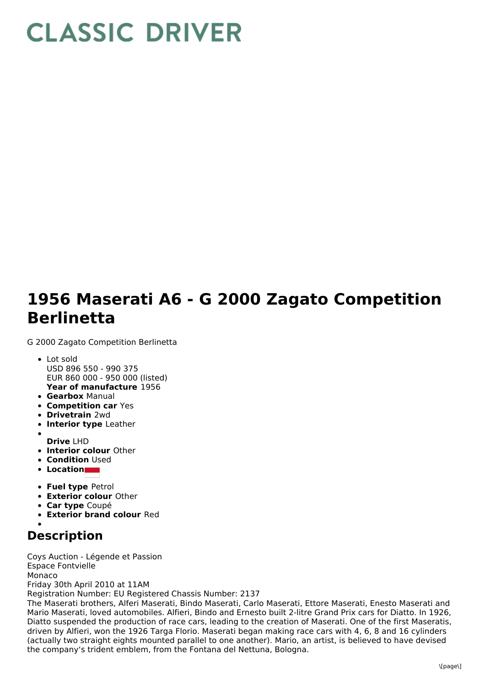## **CLASSIC DRIVER**

## **1956 Maserati A6 - G 2000 Zagato Competition Berlinetta**

G 2000 Zagato Competition Berlinetta

- **Year of manufacture** 1956 Lot sold USD 896 550 - 990 375 EUR 860 000 - 950 000 (listed)
- **Gearbox** Manual
- **Competition car** Yes
- **Drivetrain** 2wd
- **Interior type** Leather
- **Drive** LHD
- **Interior colour** Other
- **Condition Used**
- **Location**
- **Fuel type** Petrol
- **Exterior colour** Other
- **Car type** Coupé
- **Exterior brand colour** Red
- 

## **Description**

Coys Auction - Légende et Passion Espace Fontvielle Monaco Friday 30th April 2010 at 11AM Registration Number: EU Registered Chassis Number: 2137 The Maserati brothers, Alferi Maserati, Bindo Maserati, Carlo Maserati, Ettore Maserati, Enesto Maserati and Mario Maserati, loved automobiles. Alfieri, Bindo and Ernesto built 2-litre Grand Prix cars for Diatto. In 1926, Diatto suspended the production of race cars, leading to the creation of Maserati. One of the first Maseratis, driven by Alfieri, won the 1926 Targa Florio. Maserati began making race cars with 4, 6, 8 and 16 cylinders (actually two straight eights mounted parallel to one another). Mario, an artist, is believed to have devised the company's trident emblem, from the Fontana del Nettuna, Bologna.